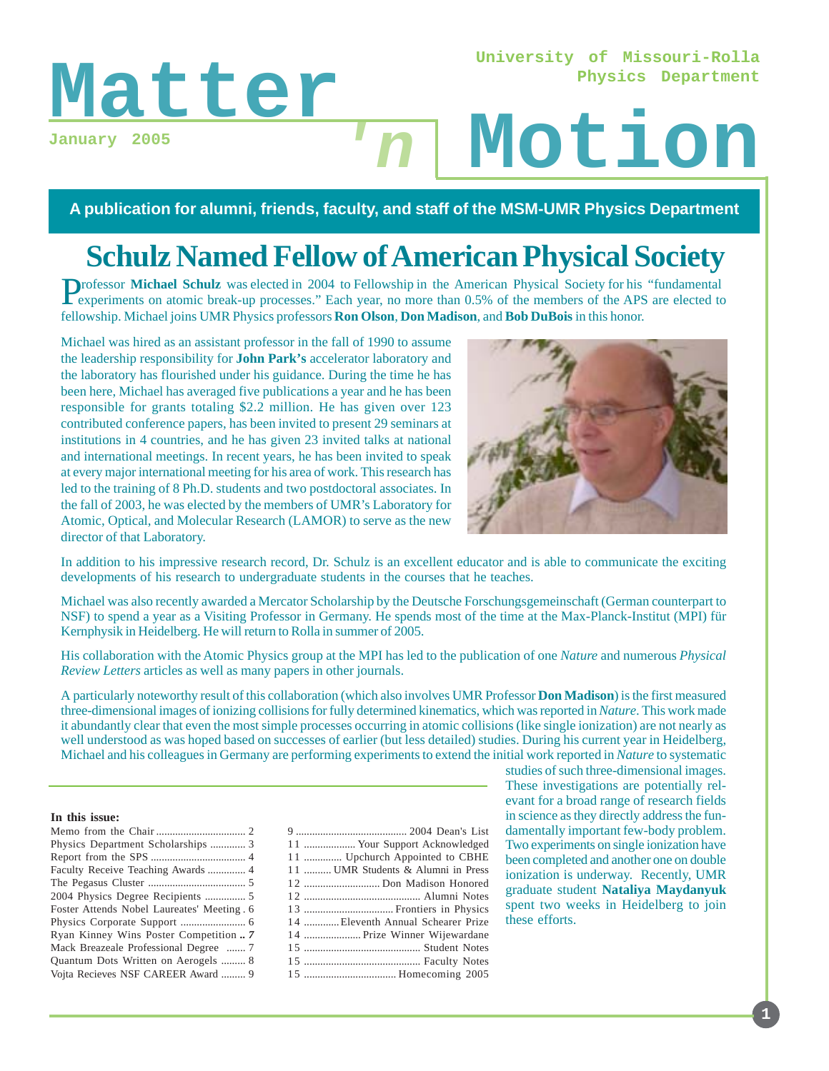### **University of Missouri-Rolla Physics Department**

**January 2005**

# Matter<sub>January</sub> 2005<br> **Matter**<br> **Motion 'n**

**A publication for alumni, friends, faculty, and staff of the MSM-UMR Physics Department**

# **Schulz Named Fellow of American Physical Society**

**Professor Michael Schulz** was elected in 2004 to Fellowship in the American Physical Society for his "fundamental" experiments on atomic break-up processes." Each year, no more than 0.5% of the members of the APS are elected to fellowship. Michael joins UMR Physics professors **Ron Olson**, **Don Madison**, and **Bob DuBois** in this honor.

Michael was hired as an assistant professor in the fall of 1990 to assume the leadership responsibility for **John Park's** accelerator laboratory and the laboratory has flourished under his guidance. During the time he has been here, Michael has averaged five publications a year and he has been responsible for grants totaling \$2.2 million. He has given over 123 contributed conference papers, has been invited to present 29 seminars at institutions in 4 countries, and he has given 23 invited talks at national and international meetings. In recent years, he has been invited to speak at every major international meeting for his area of work. This research has led to the training of 8 Ph.D. students and two postdoctoral associates. In the fall of 2003, he was elected by the members of UMR's Laboratory for Atomic, Optical, and Molecular Research (LAMOR) to serve as the new director of that Laboratory.



In addition to his impressive research record, Dr. Schulz is an excellent educator and is able to communicate the exciting developments of his research to undergraduate students in the courses that he teaches.

Michael was also recently awarded a Mercator Scholarship by the Deutsche Forschungsgemeinschaft (German counterpart to NSF) to spend a year as a Visiting Professor in Germany. He spends most of the time at the Max-Planck-Institut (MPI) für Kernphysik in Heidelberg. He will return to Rolla in summer of 2005.

His collaboration with the Atomic Physics group at the MPI has led to the publication of one *Nature* and numerous *Physical Review Letters* articles as well as many papers in other journals.

A particularly noteworthy result of this collaboration (which also involves UMR Professor **Don Madison**) is the first measured three-dimensional images of ionizing collisions for fully determined kinematics, which was reported in *Nature*. This work made it abundantly clear that even the most simple processes occurring in atomic collisions (like single ionization) are not nearly as well understood as was hoped based on successes of earlier (but less detailed) studies. During his current year in Heidelberg, Michael and his colleagues in Germany are performing experiments to extend the initial work reported in *Nature* to systematic

#### **In this issue:**

| Physics Department Scholarships  3          |  |
|---------------------------------------------|--|
|                                             |  |
| Faculty Receive Teaching Awards  4          |  |
|                                             |  |
|                                             |  |
| Foster Attends Nobel Laureates' Meeting . 6 |  |
|                                             |  |
| Ryan Kinney Wins Poster Competition  7      |  |
| Mack Breazeale Professional Degree  7       |  |
| Quantum Dots Written on Aerogels  8         |  |
| Voita Recieves NSF CAREER Award  9          |  |

| 11  Your Support Acknowledged      |  |
|------------------------------------|--|
| 11  Upchurch Appointed to CBHE     |  |
| 11  UMR Students & Alumni in Press |  |
| 12  Don Madison Honored            |  |
|                                    |  |
|                                    |  |
| 14 Eleventh Annual Schearer Prize  |  |
| 14  Prize Winner Wijewardane       |  |
|                                    |  |
|                                    |  |
|                                    |  |

studies of such three-dimensional images. These investigations are potentially relevant for a broad range of research fields in science as they directly address the fundamentally important few-body problem. Two experiments on single ionization have been completed and another one on double ionization is underway. Recently, UMR graduate student **Nataliya Maydanyuk** spent two weeks in Heidelberg to join these efforts.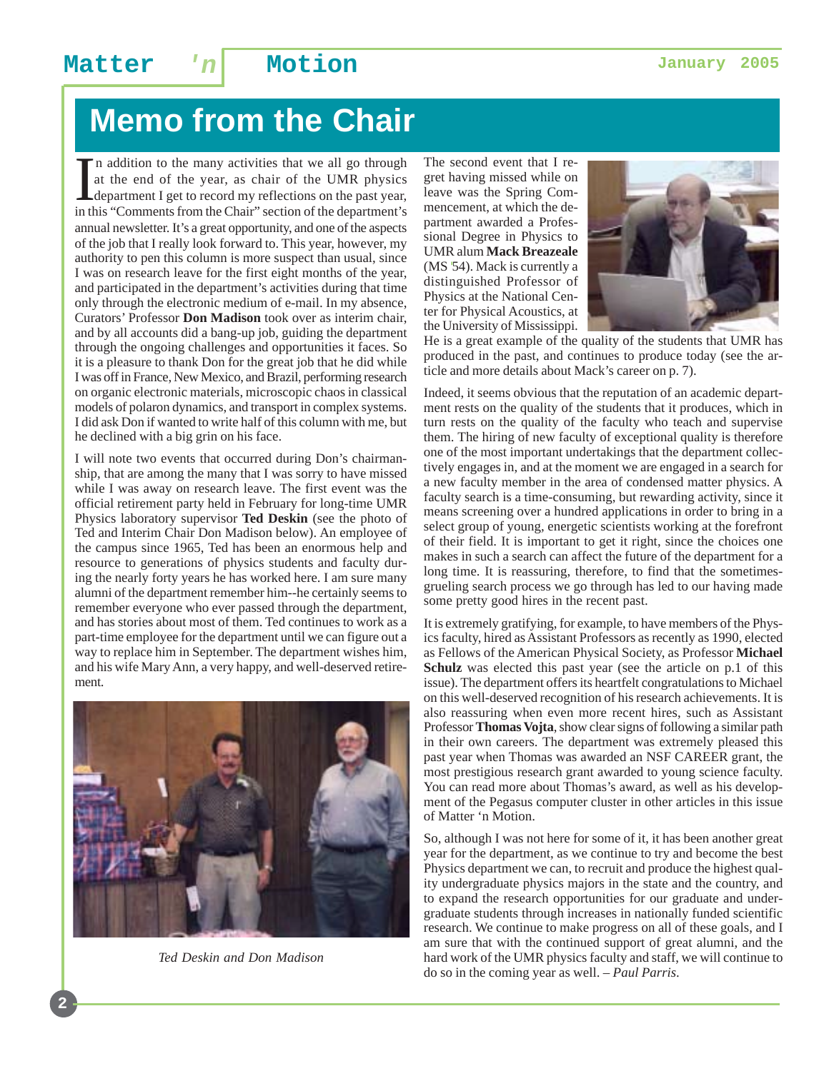# **Memo from the Chair**

In addition to the many activities that we all go through at the end of the year, as chair of the UMR physics department I get to record my reflections on the past year, in this "Comments from the Chair" section of the dep n addition to the many activities that we all go through at the end of the year, as chair of the UMR physics department I get to record my reflections on the past year, annual newsletter. It's a great opportunity, and one of the aspects of the job that I really look forward to. This year, however, my authority to pen this column is more suspect than usual, since I was on research leave for the first eight months of the year, and participated in the department's activities during that time only through the electronic medium of e-mail. In my absence, Curators' Professor **Don Madison** took over as interim chair, and by all accounts did a bang-up job, guiding the department through the ongoing challenges and opportunities it faces. So it is a pleasure to thank Don for the great job that he did while I was off in France, New Mexico, and Brazil, performing research on organic electronic materials, microscopic chaos in classical models of polaron dynamics, and transport in complex systems. I did ask Don if wanted to write half of this column with me, but he declined with a big grin on his face.

I will note two events that occurred during Don's chairmanship, that are among the many that I was sorry to have missed while I was away on research leave. The first event was the official retirement party held in February for long-time UMR Physics laboratory supervisor **Ted Deskin** (see the photo of Ted and Interim Chair Don Madison below). An employee of the campus since 1965, Ted has been an enormous help and resource to generations of physics students and faculty during the nearly forty years he has worked here. I am sure many alumni of the department remember him--he certainly seems to remember everyone who ever passed through the department, and has stories about most of them. Ted continues to work as a part-time employee for the department until we can figure out a way to replace him in September. The department wishes him, and his wife Mary Ann, a very happy, and well-deserved retirement.



*Ted Deskin and Don Madison*

The second event that I regret having missed while on leave was the Spring Commencement, at which the department awarded a Professional Degree in Physics to UMR alum **Mack Breazeale** (MS *'*54). Mack is currently a distinguished Professor of Physics at the National Center for Physical Acoustics, at the University of Mississippi.



He is a great example of the quality of the students that UMR has produced in the past, and continues to produce today (see the article and more details about Mack's career on p. 7).

Indeed, it seems obvious that the reputation of an academic department rests on the quality of the students that it produces, which in turn rests on the quality of the faculty who teach and supervise them. The hiring of new faculty of exceptional quality is therefore one of the most important undertakings that the department collectively engages in, and at the moment we are engaged in a search for a new faculty member in the area of condensed matter physics. A faculty search is a time-consuming, but rewarding activity, since it means screening over a hundred applications in order to bring in a select group of young, energetic scientists working at the forefront of their field. It is important to get it right, since the choices one makes in such a search can affect the future of the department for a long time. It is reassuring, therefore, to find that the sometimesgrueling search process we go through has led to our having made some pretty good hires in the recent past.

It is extremely gratifying, for example, to have members of the Physics faculty, hired as Assistant Professors as recently as 1990, elected as Fellows of the American Physical Society, as Professor **Michael** Schulz was elected this past year (see the article on p.1 of this issue). The department offers its heartfelt congratulations to Michael on this well-deserved recognition of his research achievements. It is also reassuring when even more recent hires, such as Assistant Professor **Thomas Vojta**, show clear signs of following a similar path in their own careers. The department was extremely pleased this past year when Thomas was awarded an NSF CAREER grant, the most prestigious research grant awarded to young science faculty. You can read more about Thomas's award, as well as his development of the Pegasus computer cluster in other articles in this issue of Matter 'n Motion.

So, although I was not here for some of it, it has been another great year for the department, as we continue to try and become the best Physics department we can, to recruit and produce the highest quality undergraduate physics majors in the state and the country, and to expand the research opportunities for our graduate and undergraduate students through increases in nationally funded scientific research. We continue to make progress on all of these goals, and I am sure that with the continued support of great alumni, and the hard work of the UMR physics faculty and staff, we will continue to do so in the coming year as well. – *Paul Parris*.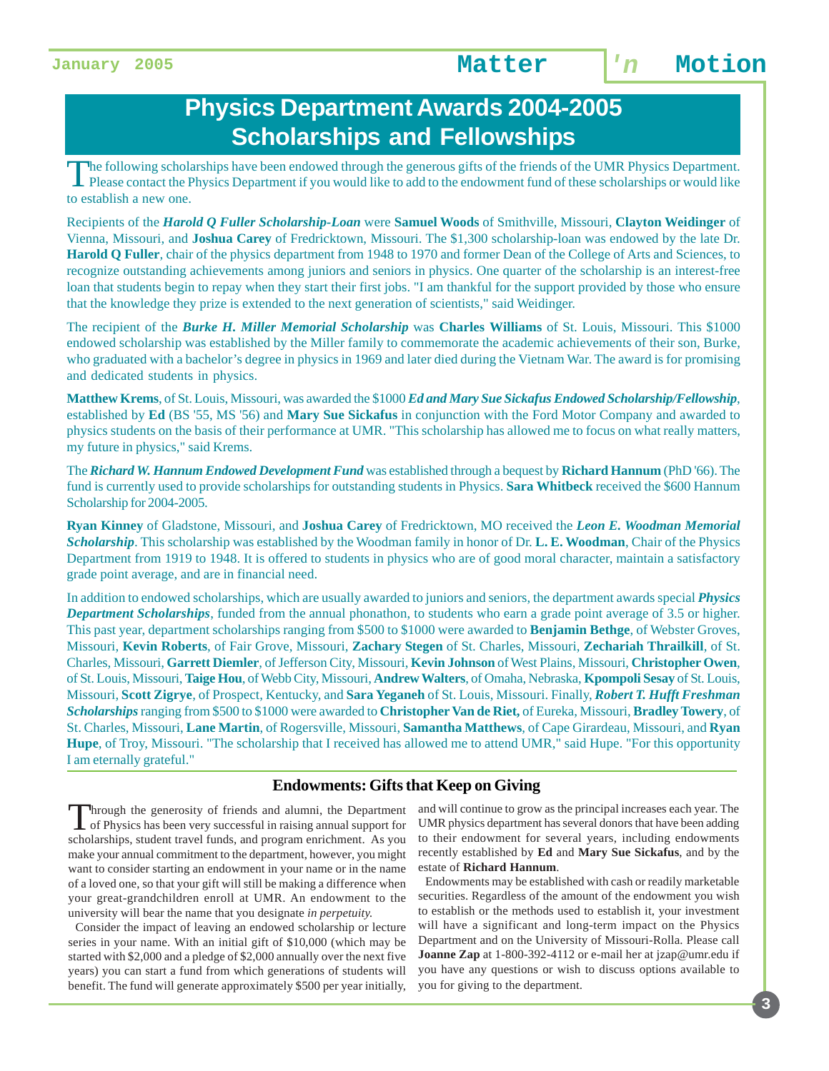## **Physics Department Awards 2004-2005 Scholarships and Fellowships**

The following scholarships have been endowed through the generous gifts of the friends of the UMR Physics Department.<br>Please contact the Physics Department if you would like to add to the endowment fund of these scholarshi to establish a new one.

Recipients of the *Harold Q Fuller Scholarship-Loan* were **Samuel Woods** of Smithville, Missouri, **Clayton Weidinger** of Vienna, Missouri, and **Joshua Carey** of Fredricktown, Missouri. The \$1,300 scholarship-loan was endowed by the late Dr. **Harold Q Fuller**, chair of the physics department from 1948 to 1970 and former Dean of the College of Arts and Sciences, to recognize outstanding achievements among juniors and seniors in physics. One quarter of the scholarship is an interest-free loan that students begin to repay when they start their first jobs. "I am thankful for the support provided by those who ensure that the knowledge they prize is extended to the next generation of scientists," said Weidinger.

The recipient of the *Burke H. Miller Memorial Scholarship* was **Charles Williams** of St. Louis, Missouri. This \$1000 endowed scholarship was established by the Miller family to commemorate the academic achievements of their son, Burke, who graduated with a bachelor's degree in physics in 1969 and later died during the Vietnam War. The award is for promising and dedicated students in physics.

**Matthew Krems**, of St. Louis, Missouri, was awarded the \$1000 *Ed and Mary Sue Sickafus Endowed Scholarship/Fellowship*, established by **Ed** (BS '55, MS '56) and **Mary Sue Sickafus** in conjunction with the Ford Motor Company and awarded to physics students on the basis of their performance at UMR. "This scholarship has allowed me to focus on what really matters, my future in physics," said Krems.

The *Richard W. Hannum Endowed Development Fund* was established through a bequest by **Richard Hannum** (PhD '66). The fund is currently used to provide scholarships for outstanding students in Physics. **Sara Whitbeck** received the \$600 Hannum Scholarship for 2004-2005.

**Ryan Kinney** of Gladstone, Missouri, and **Joshua Carey** of Fredricktown, MO received the *Leon E. Woodman Memorial Scholarship*. This scholarship was established by the Woodman family in honor of Dr. **L. E. Woodman**, Chair of the Physics Department from 1919 to 1948. It is offered to students in physics who are of good moral character, maintain a satisfactory grade point average, and are in financial need.

In addition to endowed scholarships, which are usually awarded to juniors and seniors, the department awards special *Physics Department Scholarships*, funded from the annual phonathon, to students who earn a grade point average of 3.5 or higher. This past year, department scholarships ranging from \$500 to \$1000 were awarded to **Benjamin Bethge**, of Webster Groves, Missouri, **Kevin Roberts**, of Fair Grove, Missouri, **Zachary Stegen** of St. Charles, Missouri, **Zechariah Thrailkill**, of St. Charles, Missouri, **Garrett Diemler**, of Jefferson City, Missouri, **Kevin Johnson** of West Plains, Missouri, **Christopher Owen**, of St. Louis, Missouri, **Taige Hou**, of Webb City, Missouri, **Andrew Walters**, of Omaha, Nebraska, **Kpompoli Sesay** of St. Louis, Missouri, **Scott Zigrye**, of Prospect, Kentucky, and **Sara Yeganeh** of St. Louis, Missouri. Finally, *Robert T. Hufft Freshman Scholarships* ranging from \$500 to \$1000 were awarded to **Christopher Van de Riet,** of Eureka, Missouri, **Bradley Towery**, of St. Charles, Missouri, **Lane Martin**, of Rogersville, Missouri, **Samantha Matthews**, of Cape Girardeau, Missouri, and **Ryan Hupe**, of Troy, Missouri. "The scholarship that I received has allowed me to attend UMR," said Hupe. "For this opportunity I am eternally grateful."

#### **Endowments: Gifts that Keep on Giving**

Through the generosity of friends and alumni, the Department<br>of Physics has been very successful in raising annual support for<br>relationships and the property and the property of the sum scholarships, student travel funds, and program enrichment. As you make your annual commitment to the department, however, you might want to consider starting an endowment in your name or in the name of a loved one, so that your gift will still be making a difference when your great-grandchildren enroll at UMR. An endowment to the university will bear the name that you designate *in perpetuity.*

Consider the impact of leaving an endowed scholarship or lecture series in your name. With an initial gift of \$10,000 (which may be started with \$2,000 and a pledge of \$2,000 annually over the next five years) you can start a fund from which generations of students will benefit. The fund will generate approximately \$500 per year initially,

and will continue to grow as the principal increases each year. The UMR physics department has several donors that have been adding to their endowment for several years, including endowments recently established by **Ed** and **Mary Sue Sickafus**, and by the estate of **Richard Hannum**.

 Endowments may be established with cash or readily marketable securities. Regardless of the amount of the endowment you wish to establish or the methods used to establish it, your investment will have a significant and long-term impact on the Physics Department and on the University of Missouri-Rolla. Please call **Joanne Zap** at 1-800-392-4112 or e-mail her at jzap@umr.edu if you have any questions or wish to discuss options available to you for giving to the department.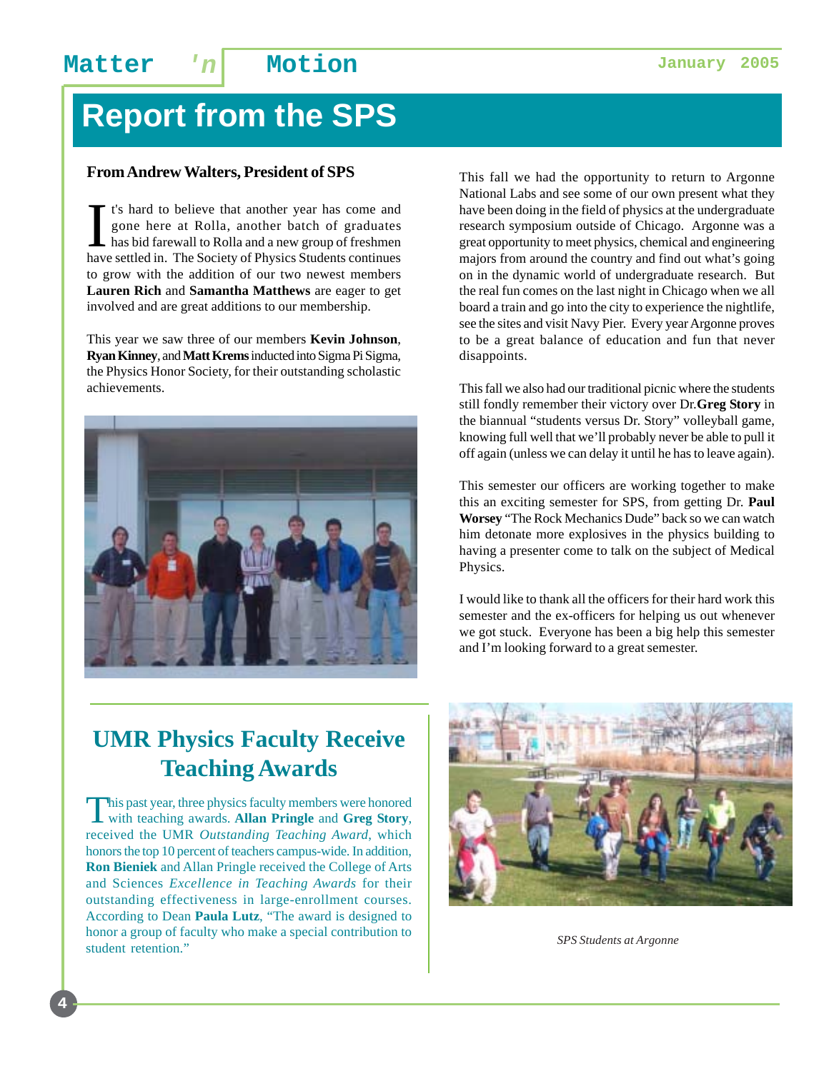# **Report from the SPS**

#### **From Andrew Walters, President of SPS**

I t's hard to believe that another year has come and<br>gone here at Rolla, another batch of graduates<br>has bid farewall to Rolla and a new group of freshmen<br>have settled in. The Society of Physics Students continues t's hard to believe that another year has come and gone here at Rolla, another batch of graduates has bid farewall to Rolla and a new group of freshmen to grow with the addition of our two newest members **Lauren Rich** and **Samantha Matthews** are eager to get involved and are great additions to our membership.

This year we saw three of our members **Kevin Johnson**, **Ryan Kinney**, and **Matt Krems** inducted into Sigma Pi Sigma, the Physics Honor Society, for their outstanding scholastic achievements.



This fall we had the opportunity to return to Argonne National Labs and see some of our own present what they have been doing in the field of physics at the undergraduate research symposium outside of Chicago. Argonne was a great opportunity to meet physics, chemical and engineering majors from around the country and find out what's going on in the dynamic world of undergraduate research. But the real fun comes on the last night in Chicago when we all board a train and go into the city to experience the nightlife, see the sites and visit Navy Pier. Every year Argonne proves to be a great balance of education and fun that never disappoints.

This fall we also had our traditional picnic where the students still fondly remember their victory over Dr.**Greg Story** in the biannual "students versus Dr. Story" volleyball game, knowing full well that we'll probably never be able to pull it off again (unless we can delay it until he has to leave again).

This semester our officers are working together to make this an exciting semester for SPS, from getting Dr. **Paul Worsey** "The Rock Mechanics Dude" back so we can watch him detonate more explosives in the physics building to having a presenter come to talk on the subject of Medical Physics.

I would like to thank all the officers for their hard work this semester and the ex-officers for helping us out whenever we got stuck. Everyone has been a big help this semester and I'm looking forward to a great semester.

## **UMR Physics Faculty Receive Teaching Awards**

This past year, three physics faculty members were honored with teaching awards. **Allan Pringle** and **Greg Story**, received the UMR *Outstanding Teaching Award*, which honors the top 10 percent of teachers campus-wide. In addition, **Ron Bieniek** and Allan Pringle received the College of Arts and Sciences *Excellence in Teaching Awards* for their outstanding effectiveness in large-enrollment courses. According to Dean **Paula Lutz**, "The award is designed to honor a group of faculty who make a special contribution to student retention." *SPS Students at Argonne*

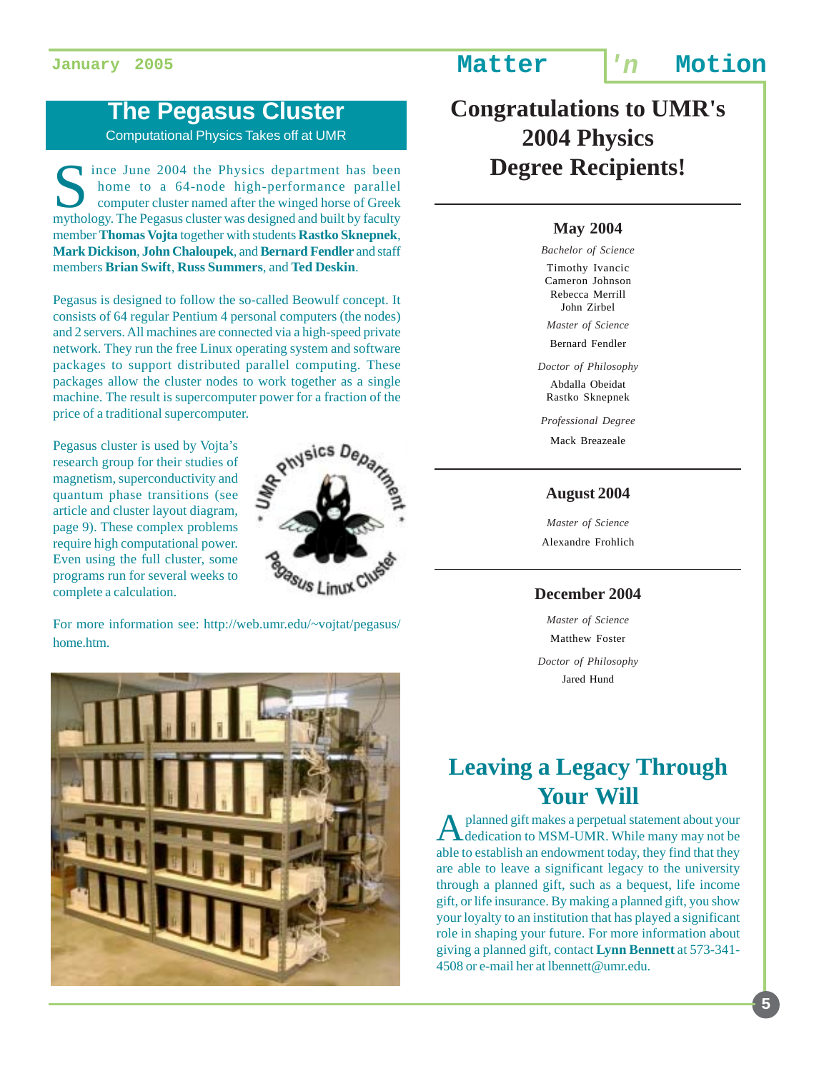### **The Pegasus Cluster**

Computational Physics Takes off at UMR

ince June 2004 the Physics department has been home to a 64-node high-performance parallel computer cluster named after the winged horse of Greek mythology. The Pegasus cluster was designed and built by faculty member **Thomas Vojta** together with students **Rastko Sknepnek**, **Mark Dickison**, **John Chaloupek**, and **Bernard Fendler** and staff members **Brian Swift**, **Russ Summers**, and **Ted Deskin**.

Pegasus is designed to follow the so-called Beowulf concept. It consists of 64 regular Pentium 4 personal computers (the nodes) and 2 servers. All machines are connected via a high-speed private network. They run the free Linux operating system and software packages to support distributed parallel computing. These packages allow the cluster nodes to work together as a single machine. The result is supercomputer power for a fraction of the price of a traditional supercomputer.

Pegasus cluster is used by Vojta's research group for their studies of magnetism, superconductivity and quantum phase transitions (see article and cluster layout diagram, page 9). These complex problems require high computational power. Even using the full cluster, some programs run for several weeks to complete a calculation.



For more information see: http://web.umr.edu/~vojtat/pegasus/ home.htm.



**Congratulations to UMR's 2004 Physics Degree Recipients!**

#### **May 2004**

*Bachelor of Science* Timothy Ivancic Cameron Johnson Rebecca Merrill John Zirbel

*Master of Science*

Bernard Fendler

*Doctor of Philosophy* Abdalla Obeidat

Rastko Sknepnek

*Professional Degree*

Mack Breazeale

#### **August 2004**

*Master of Science* Alexandre Frohlich

#### **December 2004**

*Master of Science* Matthew Foster

*Doctor of Philosophy* Jared Hund

### **Leaving a Legacy Through Your Will**

A planned gift makes a perpetual statement about your dedication to MSM-UMR. While many may not be able to establish an endowment today, they find that they are able to leave a significant legacy to the university through a planned gift, such as a bequest, life income gift, or life insurance. By making a planned gift, you show your loyalty to an institution that has played a significant role in shaping your future. For more information about giving a planned gift, contact **Lynn Bennett** at 573-341- 4508 or e-mail her at lbennett@umr.edu.

#### **5**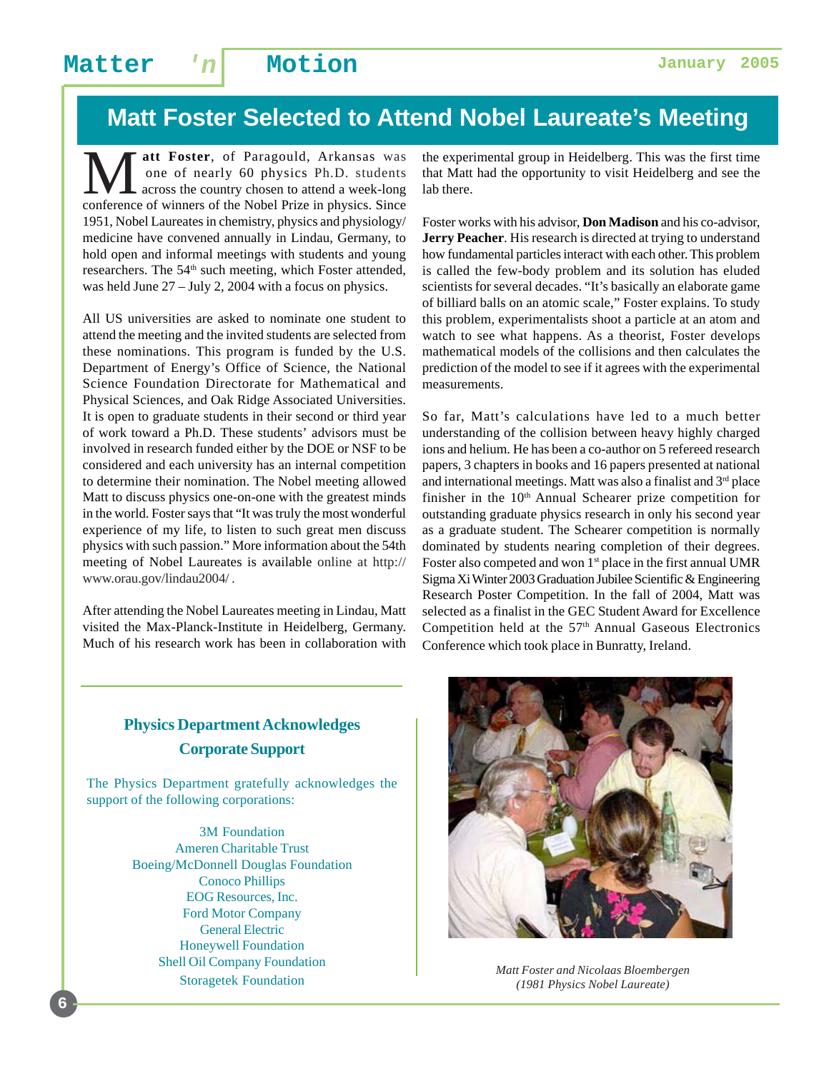## **Matt Foster Selected to Attend Nobel Laureate's Meeting**

**M** att Foster, of Paragould, Arkansas was<br>one of nearly 60 physics Ph.D. students<br>conference of winners of the Nobel Prize in physics Since one of nearly 60 physics Ph.D. students across the country chosen to attend a week-long conference of winners of the Nobel Prize in physics. Since 1951, Nobel Laureates in chemistry, physics and physiology/ medicine have convened annually in Lindau, Germany, to hold open and informal meetings with students and young researchers. The 54<sup>th</sup> such meeting, which Foster attended, was held June 27 – July 2, 2004 with a focus on physics.

All US universities are asked to nominate one student to attend the meeting and the invited students are selected from these nominations. This program is funded by the U.S. Department of Energy's Office of Science, the National Science Foundation Directorate for Mathematical and Physical Sciences, and Oak Ridge Associated Universities. It is open to graduate students in their second or third year of work toward a Ph.D. These students' advisors must be involved in research funded either by the DOE or NSF to be considered and each university has an internal competition to determine their nomination. The Nobel meeting allowed Matt to discuss physics one-on-one with the greatest minds in the world. Foster says that "It was truly the most wonderful experience of my life, to listen to such great men discuss physics with such passion." More information about the 54th meeting of Nobel Laureates is available online at http:// www.orau.gov/lindau2004/ .

After attending the Nobel Laureates meeting in Lindau, Matt visited the Max-Planck-Institute in Heidelberg, Germany. Much of his research work has been in collaboration with

the experimental group in Heidelberg. This was the first time that Matt had the opportunity to visit Heidelberg and see the lab there.

Foster works with his advisor, **Don Madison** and his co-advisor, **Jerry Peacher**. His research is directed at trying to understand how fundamental particles interact with each other. This problem is called the few-body problem and its solution has eluded scientists for several decades. "It's basically an elaborate game of billiard balls on an atomic scale," Foster explains. To study this problem, experimentalists shoot a particle at an atom and watch to see what happens. As a theorist, Foster develops mathematical models of the collisions and then calculates the prediction of the model to see if it agrees with the experimental measurements.

So far, Matt's calculations have led to a much better understanding of the collision between heavy highly charged ions and helium. He has been a co-author on 5 refereed research papers, 3 chapters in books and 16 papers presented at national and international meetings. Matt was also a finalist and  $3<sup>rd</sup>$  place finisher in the 10<sup>th</sup> Annual Schearer prize competition for outstanding graduate physics research in only his second year as a graduate student. The Schearer competition is normally dominated by students nearing completion of their degrees. Foster also competed and won  $1<sup>st</sup>$  place in the first annual UMR Sigma Xi Winter 2003 Graduation Jubilee Scientific & Engineering Research Poster Competition. In the fall of 2004, Matt was selected as a finalist in the GEC Student Award for Excellence Competition held at the  $57<sup>th</sup>$  Annual Gaseous Electronics Conference which took place in Bunratty, Ireland.

### **Physics Department Acknowledges Corporate Support**

The Physics Department gratefully acknowledges the support of the following corporations:

> 3M Foundation Ameren Charitable Trust Boeing/McDonnell Douglas Foundation Conoco Phillips EOG Resources, Inc. Ford Motor Company General Electric Honeywell Foundation Shell Oil Company Foundation



Storagetek Foundation *Matt Foster and Nicolaas Bloembergen (1981 Physics Nobel Laureate)*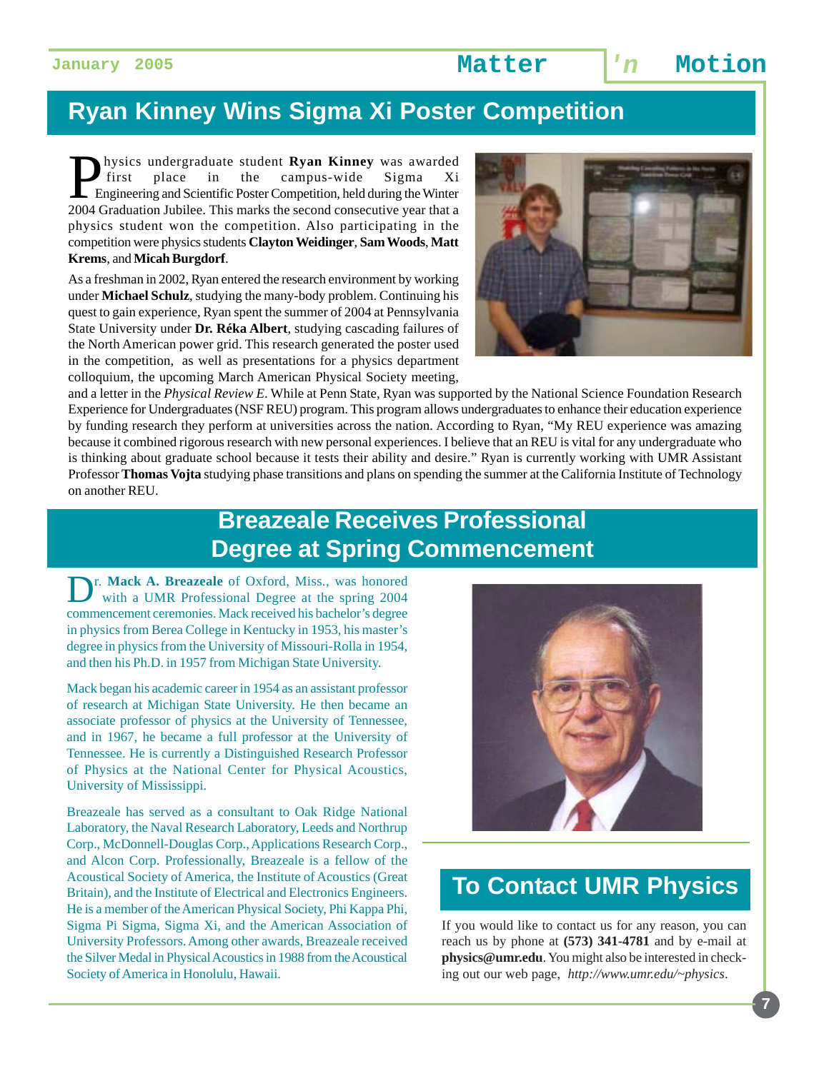## **Ryan Kinney Wins Sigma Xi Poster Competition**

**Physics undergraduate student Ryan Kinney** was awarded<br>first place in the campus-wide Sigma Xi<br>Physical Constant Sigma 2004 Graduation Jubilee This marks the second consecutive year that a first place in the campus-wide Sigma Xi Engineering and Scientific Poster Competition, held during the Winter 2004 Graduation Jubilee. This marks the second consecutive year that a physics student won the competition. Also participating in the competition were physics students **Clayton Weidinger**, **Sam Woods**, **Matt Krems**, and **Micah Burgdorf**.

As a freshman in 2002, Ryan entered the research environment by working under **Michael Schulz**, studying the many-body problem. Continuing his quest to gain experience, Ryan spent the summer of 2004 at Pennsylvania State University under **Dr. Réka Albert**, studying cascading failures of the North American power grid. This research generated the poster used in the competition, as well as presentations for a physics department colloquium, the upcoming March American Physical Society meeting,



and a letter in the *Physical Review E*. While at Penn State, Ryan was supported by the National Science Foundation Research Experience for Undergraduates (NSF REU) program. This program allows undergraduates to enhance their education experience by funding research they perform at universities across the nation. According to Ryan, "My REU experience was amazing because it combined rigorous research with new personal experiences. I believe that an REU is vital for any undergraduate who is thinking about graduate school because it tests their ability and desire." Ryan is currently working with UMR Assistant Professor **Thomas Vojta** studying phase transitions and plans on spending the summer at the California Institute of Technology on another REU.

## **Breazeale Receives Professional Degree at Spring Commencement**

Dr. Mack A. Breazeale of Oxford, Miss., was honored with a UMR Professional Degree at the spring 2004 commencement ceremonies. Mack received his bachelor's degree in physics from Berea College in Kentucky in 1953, his master's degree in physics from the University of Missouri-Rolla in 1954, and then his Ph.D. in 1957 from Michigan State University.

Mack began his academic career in 1954 as an assistant professor of research at Michigan State University. He then became an associate professor of physics at the University of Tennessee, and in 1967, he became a full professor at the University of Tennessee. He is currently a Distinguished Research Professor of Physics at the National Center for Physical Acoustics, University of Mississippi.

Breazeale has served as a consultant to Oak Ridge National Laboratory, the Naval Research Laboratory, Leeds and Northrup Corp., McDonnell-Douglas Corp., Applications Research Corp., and Alcon Corp. Professionally, Breazeale is a fellow of the Acoustical Society of America, the Institute of Acoustics (Great Britain), and the Institute of Electrical and Electronics Engineers. He is a member of the American Physical Society, Phi Kappa Phi, Sigma Pi Sigma, Sigma Xi, and the American Association of University Professors. Among other awards, Breazeale received the Silver Medal in Physical Acoustics in 1988 from the Acoustical Society of America in Honolulu, Hawaii.



## **To Contact UMR Physics**

If you would like to contact us for any reason, you can reach us by phone at **(573) 341-4781** and by e-mail at **physics@umr.edu**. You might also be interested in checking out our web page, *http://www.umr.edu/~physics*.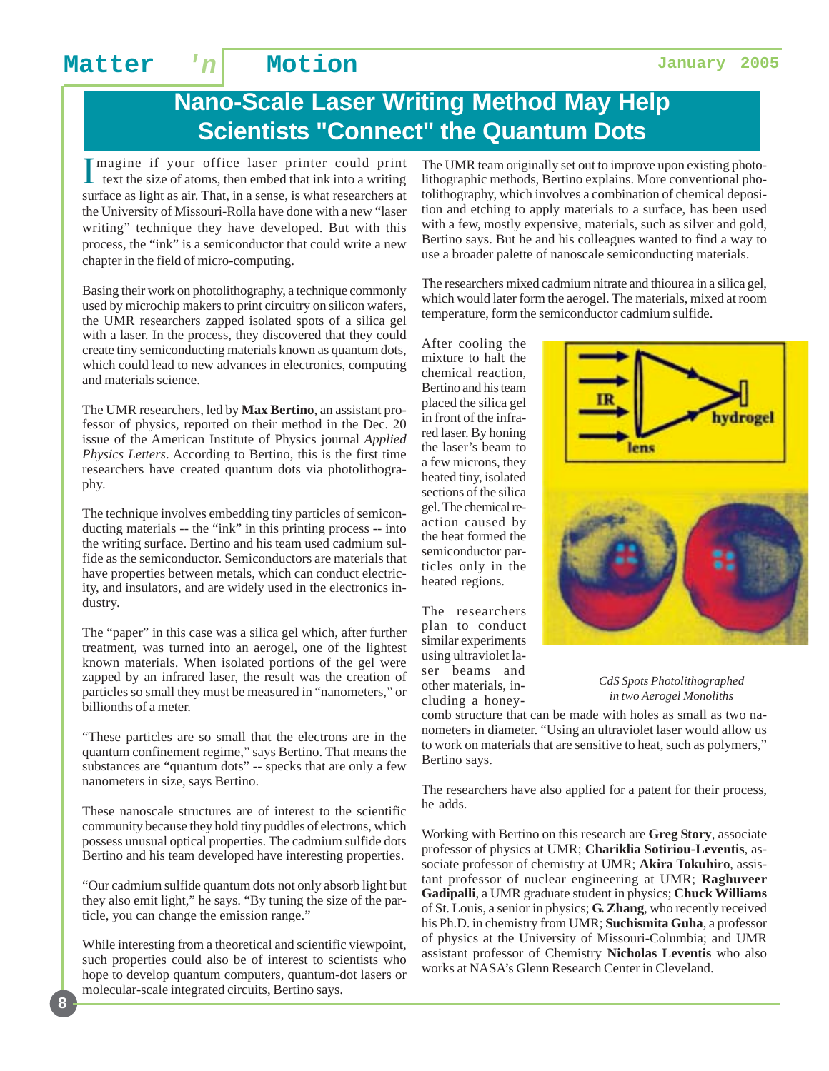## **Nano-Scale Laser Writing Method May Help Scientists "Connect" the Quantum Dots**

I magine if your office laser printer could print<br>text the size of atoms, then embed that ink into a writing text the size of atoms, then embed that ink into a writing surface as light as air. That, in a sense, is what researchers at the University of Missouri-Rolla have done with a new "laser writing" technique they have developed. But with this process, the "ink" is a semiconductor that could write a new chapter in the field of micro-computing.

Basing their work on photolithography, a technique commonly used by microchip makers to print circuitry on silicon wafers, the UMR researchers zapped isolated spots of a silica gel with a laser. In the process, they discovered that they could create tiny semiconducting materials known as quantum dots, which could lead to new advances in electronics, computing and materials science.

The UMR researchers, led by **Max Bertino**, an assistant professor of physics, reported on their method in the Dec. 20 issue of the American Institute of Physics journal *Applied Physics Letters*. According to Bertino, this is the first time researchers have created quantum dots via photolithography.

The technique involves embedding tiny particles of semiconducting materials -- the "ink" in this printing process -- into the writing surface. Bertino and his team used cadmium sulfide as the semiconductor. Semiconductors are materials that have properties between metals, which can conduct electricity, and insulators, and are widely used in the electronics industry.

The "paper" in this case was a silica gel which, after further treatment, was turned into an aerogel, one of the lightest known materials. When isolated portions of the gel were zapped by an infrared laser, the result was the creation of particles so small they must be measured in "nanometers," or billionths of a meter.

"These particles are so small that the electrons are in the quantum confinement regime," says Bertino. That means the substances are "quantum dots" -- specks that are only a few nanometers in size, says Bertino.

These nanoscale structures are of interest to the scientific community because they hold tiny puddles of electrons, which possess unusual optical properties. The cadmium sulfide dots Bertino and his team developed have interesting properties.

"Our cadmium sulfide quantum dots not only absorb light but they also emit light," he says. "By tuning the size of the particle, you can change the emission range."

While interesting from a theoretical and scientific viewpoint, such properties could also be of interest to scientists who hope to develop quantum computers, quantum-dot lasers or molecular-scale integrated circuits, Bertino says.

The UMR team originally set out to improve upon existing photolithographic methods, Bertino explains. More conventional photolithography, which involves a combination of chemical deposition and etching to apply materials to a surface, has been used with a few, mostly expensive, materials, such as silver and gold, Bertino says. But he and his colleagues wanted to find a way to use a broader palette of nanoscale semiconducting materials.

The researchers mixed cadmium nitrate and thiourea in a silica gel, which would later form the aerogel. The materials, mixed at room temperature, form the semiconductor cadmium sulfide.

After cooling the mixture to halt the chemical reaction, Bertino and his team placed the silica gel in front of the infrared laser. By honing the laser's beam to a few microns, they heated tiny, isolated sections of the silica gel. The chemical reaction caused by the heat formed the semiconductor particles only in the heated regions.

The researchers plan to conduct similar experiments using ultraviolet laser beams and other materials, including a honey-

hydrogel lens

*CdS Spots Photolithographed in two Aerogel Monoliths*

comb structure that can be made with holes as small as two nanometers in diameter. "Using an ultraviolet laser would allow us to work on materials that are sensitive to heat, such as polymers," Bertino says.

The researchers have also applied for a patent for their process, he adds.

Working with Bertino on this research are **Greg Story**, associate professor of physics at UMR; **Chariklia Sotiriou-Leventis**, associate professor of chemistry at UMR; **Akira Tokuhiro**, assistant professor of nuclear engineering at UMR; **Raghuveer Gadipalli**, a UMR graduate student in physics; **Chuck Williams** of St. Louis, a senior in physics; **G. Zhang**, who recently received his Ph.D. in chemistry from UMR; **Suchismita Guha**, a professor of physics at the University of Missouri-Columbia; and UMR assistant professor of Chemistry **Nicholas Leventis** who also works at NASA's Glenn Research Center in Cleveland.







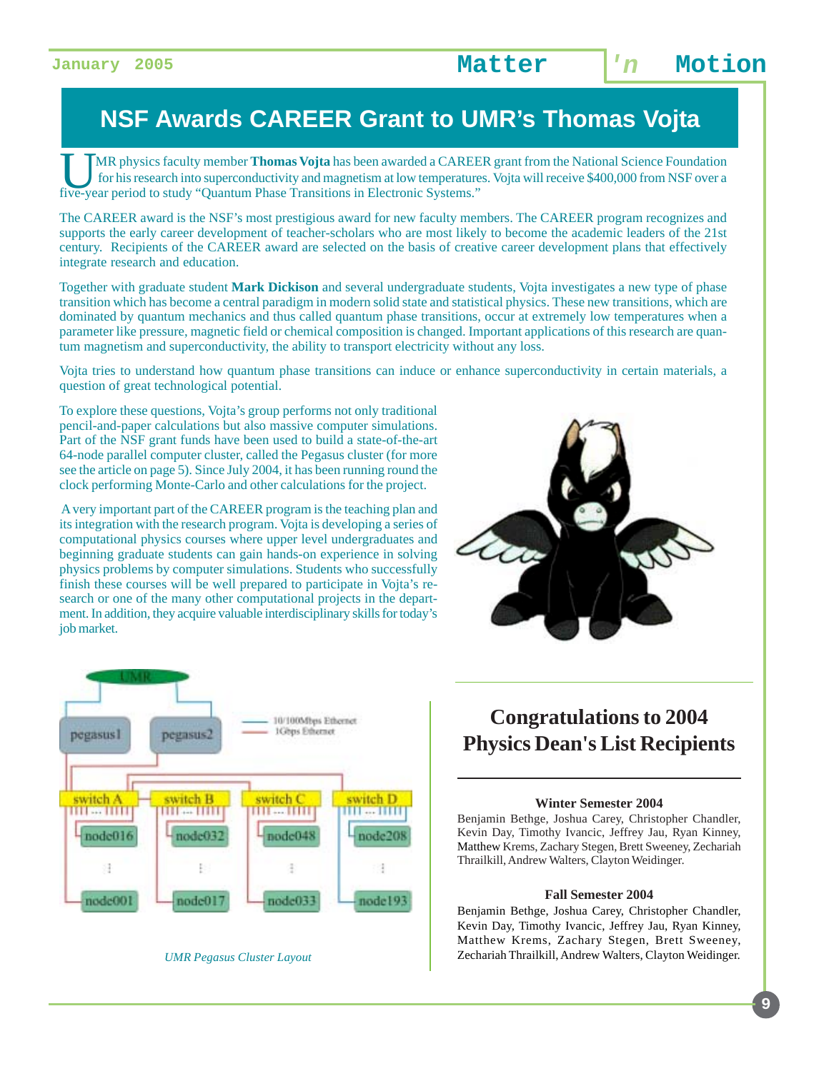## **NSF Awards CAREER Grant to UMR's Thomas Vojta**

UMR physics faculty member **Thomas Vojta** has been awarded a CAREER grant from the National Science Foundation for his research into superconductivity and magnetism at low temperatures. Vojta will receive \$400,000 from NSF over a five-year period to study "Quantum Phase Transitions in Electronic Systems."

The CAREER award is the NSF's most prestigious award for new faculty members. The CAREER program recognizes and supports the early career development of teacher-scholars who are most likely to become the academic leaders of the 21st century. Recipients of the CAREER award are selected on the basis of creative career development plans that effectively integrate research and education.

Together with graduate student **Mark Dickison** and several undergraduate students, Vojta investigates a new type of phase transition which has become a central paradigm in modern solid state and statistical physics. These new transitions, which are dominated by quantum mechanics and thus called quantum phase transitions, occur at extremely low temperatures when a parameter like pressure, magnetic field or chemical composition is changed. Important applications of this research are quantum magnetism and superconductivity, the ability to transport electricity without any loss.

Vojta tries to understand how quantum phase transitions can induce or enhance superconductivity in certain materials, a question of great technological potential.

To explore these questions, Vojta's group performs not only traditional pencil-and-paper calculations but also massive computer simulations. Part of the NSF grant funds have been used to build a state-of-the-art 64-node parallel computer cluster, called the Pegasus cluster (for more see the article on page 5). Since July 2004, it has been running round the clock performing Monte-Carlo and other calculations for the project.

 A very important part of the CAREER program is the teaching plan and its integration with the research program. Vojta is developing a series of computational physics courses where upper level undergraduates and beginning graduate students can gain hands-on experience in solving physics problems by computer simulations. Students who successfully finish these courses will be well prepared to participate in Vojta's research or one of the many other computational projects in the department. In addition, they acquire valuable interdisciplinary skills for today's job market.





*UMR Pegasus Cluster Layout*

### **Congratulations to 2004 Physics Dean's List Recipients**

#### **Winter Semester 2004**

Benjamin Bethge, Joshua Carey, Christopher Chandler, Kevin Day, Timothy Ivancic, Jeffrey Jau, Ryan Kinney, Matthew Krems, Zachary Stegen, Brett Sweeney, Zechariah Thrailkill, Andrew Walters, Clayton Weidinger.

#### **Fall Semester 2004**

Benjamin Bethge, Joshua Carey, Christopher Chandler, Kevin Day, Timothy Ivancic, Jeffrey Jau, Ryan Kinney, Matthew Krems, Zachary Stegen, Brett Sweeney, Zechariah Thrailkill, Andrew Walters, Clayton Weidinger.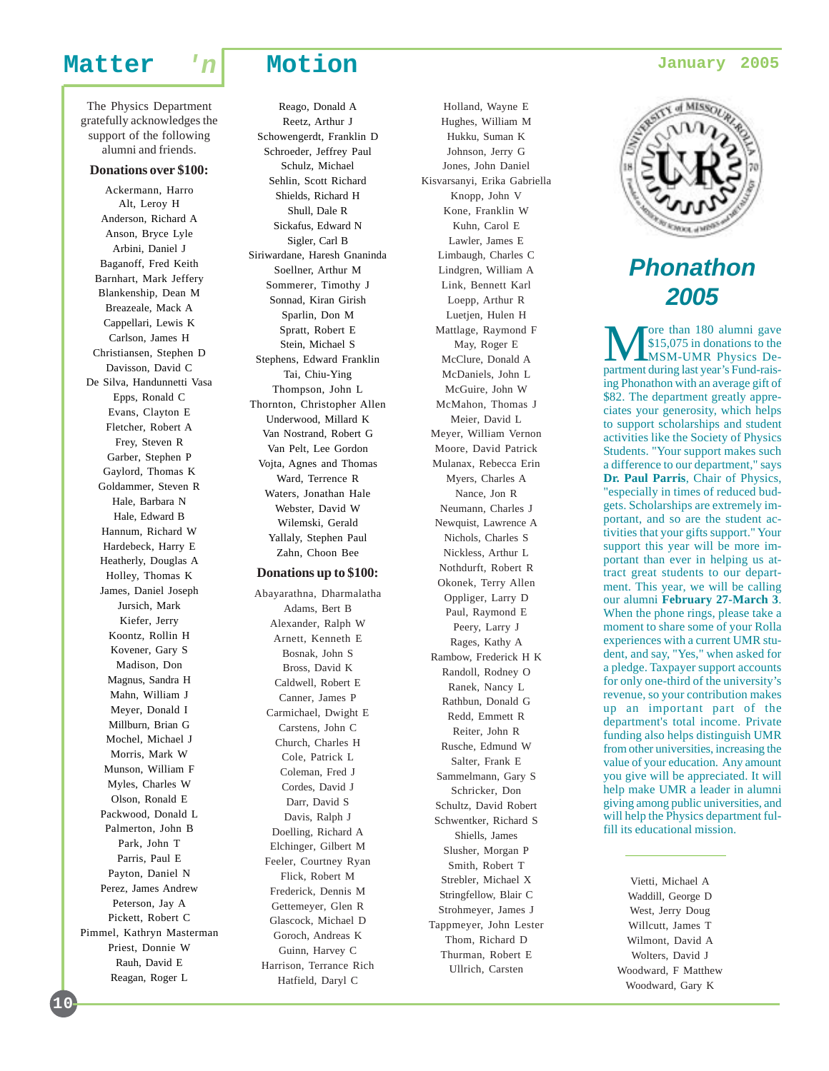The Physics Department gratefully acknowledges the support of the following alumni and friends.

#### **Donations over \$100:**

Ackermann, Harro Alt, Leroy H Anderson, Richard A Anson, Bryce Lyle Arbini, Daniel J Baganoff, Fred Keith Barnhart, Mark Jeffery Blankenship, Dean M Breazeale, Mack A Cappellari, Lewis K Carlson, James H Christiansen, Stephen D Davisson, David C De Silva, Handunnetti Vasa Epps, Ronald C Evans, Clayton E Fletcher, Robert A Frey, Steven R Garber, Stephen P Gaylord, Thomas K Goldammer, Steven R Hale, Barbara N Hale, Edward B Hannum, Richard W Hardebeck, Harry E Heatherly, Douglas A Holley, Thomas K James, Daniel Joseph Jursich, Mark Kiefer, Jerry Koontz, Rollin H Kovener, Gary S Madison, Don Magnus, Sandra H Mahn, William J Meyer, Donald I Millburn, Brian G Mochel, Michael J Morris, Mark W Munson, William F Myles, Charles W Olson, Ronald E Packwood, Donald L Palmerton, John B Park, John T Parris, Paul E Payton, Daniel N Perez, James Andrew Peterson, Jay A Pickett, Robert C Pimmel, Kathryn Masterman Priest, Donnie W Rauh, David E Reagan, Roger L

Reago, Donald A Reetz, Arthur J Schowengerdt, Franklin D Schroeder, Jeffrey Paul Schulz, Michael Sehlin, Scott Richard Shields, Richard H Shull, Dale R Sickafus, Edward N Sigler, Carl B Siriwardane, Haresh Gnaninda Soellner, Arthur M Sommerer, Timothy J Sonnad, Kiran Girish Sparlin, Don M Spratt, Robert E Stein, Michael S Stephens, Edward Franklin Tai, Chiu-Ying Thompson, John L Thornton, Christopher Allen Underwood, Millard K Van Nostrand, Robert G Van Pelt, Lee Gordon Vojta, Agnes and Thomas Ward, Terrence R Waters, Jonathan Hale Webster, David W Wilemski, Gerald Yallaly, Stephen Paul Zahn, Choon Bee

#### **Donations up to \$100:**

Abayarathna, Dharmalatha Adams, Bert B Alexander, Ralph W Arnett, Kenneth E Bosnak, John S Bross, David K Caldwell, Robert E Canner, James P Carmichael, Dwight E Carstens, John C Church, Charles H Cole, Patrick L Coleman, Fred J Cordes, David J Darr, David S Davis, Ralph J Doelling, Richard A Elchinger, Gilbert M Feeler, Courtney Ryan Flick, Robert M Frederick, Dennis M Gettemeyer, Glen R Glascock, Michael D Goroch, Andreas K Guinn, Harvey C Harrison, Terrance Rich Hatfield, Daryl C

Holland, Wayne E Hughes, William M Hukku, Suman K Johnson, Jerry G Jones, John Daniel Kisvarsanyi, Erika Gabriella Knopp, John V Kone, Franklin W Kuhn, Carol E Lawler, James E Limbaugh, Charles C Lindgren, William A Link, Bennett Karl Loepp, Arthur R Luetjen, Hulen H Mattlage, Raymond F May, Roger E McClure, Donald A McDaniels, John L McGuire, John W McMahon, Thomas J Meier, David L Meyer, William Vernon Moore, David Patrick Mulanax, Rebecca Erin Myers, Charles A Nance, Jon R Neumann, Charles J Newquist, Lawrence A Nichols, Charles S Nickless, Arthur L Nothdurft, Robert R Okonek, Terry Allen Oppliger, Larry D Paul, Raymond E Peery, Larry J Rages, Kathy A Rambow, Frederick H K Randoll, Rodney O Ranek, Nancy L Rathbun, Donald G Redd, Emmett R Reiter, John R Rusche, Edmund W Salter, Frank E Sammelmann, Gary S Schricker, Don Schultz, David Robert Schwentker, Richard S Shiells, James Slusher, Morgan P Smith, Robert T Strebler, Michael X Stringfellow, Blair C Strohmeyer, James J Tappmeyer, John Lester Thom, Richard D Thurman, Robert E Ullrich, Carsten



### **Phonathon 2005**

More than 180 alumni gave<br>
\$15,075 in donations to the<br>
MSM-UMR Physics De-<br>
partment during last year's Eund-rais-\$15,075 in donations to the partment during last year's Fund-raising Phonathon with an average gift of \$82. The department greatly appreciates your generosity, which helps to support scholarships and student activities like the Society of Physics Students. "Your support makes such a difference to our department," says **Dr. Paul Parris**, Chair of Physics, "especially in times of reduced budgets. Scholarships are extremely important, and so are the student activities that your gifts support." Your support this year will be more important than ever in helping us attract great students to our department. This year, we will be calling our alumni **February 27-March 3**. When the phone rings, please take a moment to share some of your Rolla experiences with a current UMR student, and say, "Yes," when asked for a pledge. Taxpayer support accounts for only one-third of the university's revenue, so your contribution makes up an important part of the department's total income. Private funding also helps distinguish UMR from other universities, increasing the value of your education. Any amount you give will be appreciated. It will help make UMR a leader in alumni giving among public universities, and will help the Physics department fulfill its educational mission.

Vietti, Michael A Waddill, George D West, Jerry Doug Willcutt, James T Wilmont, David A Wolters, David J Woodward, F Matthew Woodward, Gary K

**10**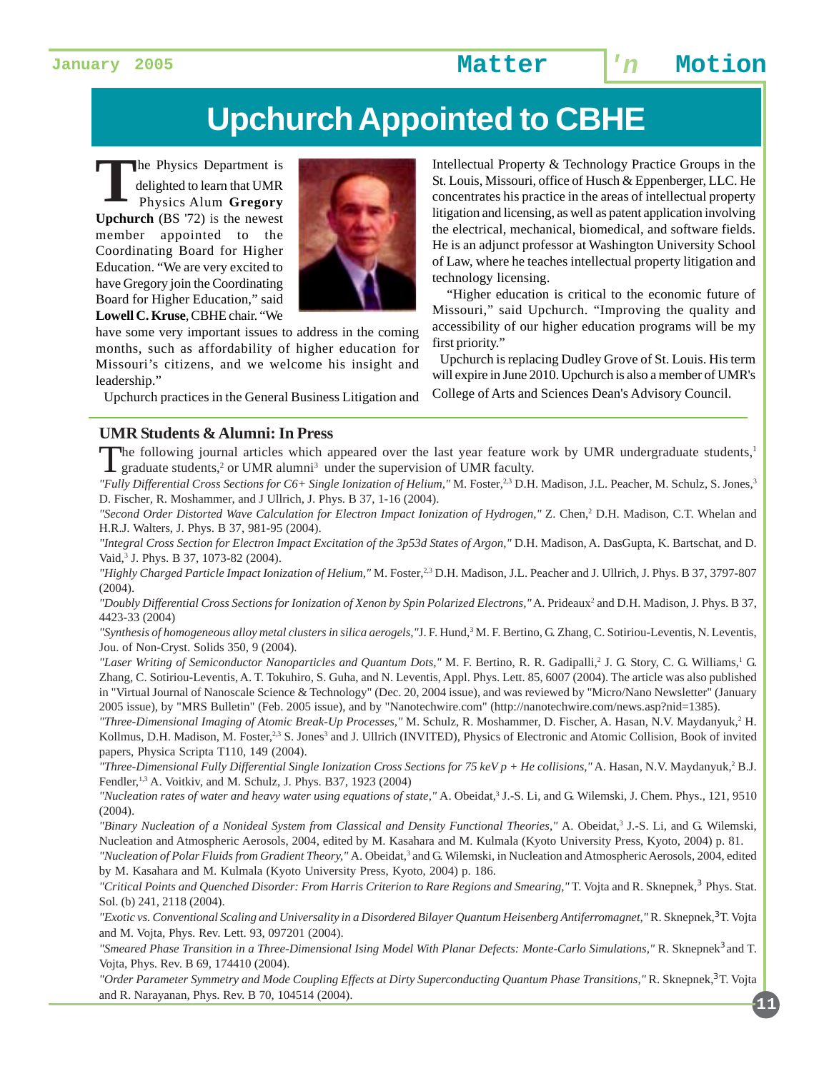# **Upchurch Appointed to CBHE**

The Physics Department is<br>delighted to learn that UMR<br>Physics Alum Gregory delighted to learn that UMR Physics Alum **Gregory Upchurch** (BS '72) is the newest member appointed to the Coordinating Board for Higher Education. "We are very excited to have Gregory join the Coordinating Board for Higher Education," said **Lowell C. Kruse**, CBHE chair. "We



have some very important issues to address in the coming months, such as affordability of higher education for Missouri's citizens, and we welcome his insight and leadership."

Upchurch practices in the General Business Litigation and

#### **UMR Students & Alumni: In Press**

The following journal articles which appeared over the last year feature work by UMR undergraduate students,<sup>1</sup>  $\blacktriangle$  graduate students,<sup>2</sup> or UMR alumni<sup>3</sup> under the supervision of UMR faculty.

*"Fully Differential Cross Sections for C6+ Single Ionization of Helium,"* M. Foster,2,3 D.H. Madison, J.L. Peacher, M. Schulz, S. Jones,3 D. Fischer, R. Moshammer, and J Ullrich, J. Phys. B 37, 1-16 (2004).

"Second Order Distorted Wave Calculation for Electron Impact Ionization of Hydrogen," Z. Chen,<sup>2</sup> D.H. Madison, C.T. Whelan and H.R.J. Walters, J. Phys. B 37, 981-95 (2004).

*"Integral Cross Section for Electron Impact Excitation of the 3p53d States of Argon,"* D.H. Madison, A. DasGupta, K. Bartschat, and D. Vaid,<sup>3</sup> J. Phys. B 37, 1073-82 (2004).

*"Highly Charged Particle Impact Ionization of Helium,"* M. Foster,2,3 D.H. Madison, J.L. Peacher and J. Ullrich, J. Phys. B 37, 3797-807 (2004).

"Doubly Differential Cross Sections for Ionization of Xenon by Spin Polarized Electrons," A. Prideaux<sup>2</sup> and D.H. Madison, J. Phys. B 37, 4423-33 (2004)

*"Synthesis of homogeneous alloy metal clusters in silica aerogels,"*J. F. Hund,3 M. F. Bertino, G. Zhang, C. Sotiriou-Leventis, N. Leventis, Jou. of Non-Cryst. Solids 350, 9 (2004).

"Laser Writing of Semiconductor Nanoparticles and Quantum Dots," M. F. Bertino, R. R. Gadipalli,<sup>2</sup> J. G. Story, C. G. Williams,<sup>1</sup> G. Zhang, C. Sotiriou-Leventis, A. T. Tokuhiro, S. Guha, and N. Leventis, Appl. Phys. Lett. 85, 6007 (2004). The article was also published in "Virtual Journal of Nanoscale Science & Technology" (Dec. 20, 2004 issue), and was reviewed by "Micro/Nano Newsletter" (January 2005 issue), by "MRS Bulletin" (Feb. 2005 issue), and by "Nanotechwire.com" (http://nanotechwire.com/news.asp?nid=1385).

"Three-Dimensional Imaging of Atomic Break-Up Processes," M. Schulz, R. Moshammer, D. Fischer, A. Hasan, N.V. Maydanyuk,<sup>2</sup> H. Kollmus, D.H. Madison, M. Foster,<sup>2,3</sup> S. Jones<sup>3</sup> and J. Ullrich (INVITED), Physics of Electronic and Atomic Collision, Book of invited papers, Physica Scripta T110, 149 (2004).

"Three-Dimensional Fully Differential Single Ionization Cross Sections for 75 keV p + He collisions," A. Hasan, N.V. Maydanyuk,<sup>2</sup> B.J. Fendler,<sup>1,3</sup> A. Voitkiv, and M. Schulz, J. Phys. B37, 1923 (2004)

"Nucleation rates of water and heavy water using equations of state," A. Obeidat,<sup>3</sup> J.-S. Li, and G. Wilemski, J. Chem. Phys., 121, 9510 (2004).

"Binary Nucleation of a Nonideal System from Classical and Density Functional Theories," A. Obeidat,<sup>3</sup> J.-S. Li, and G. Wilemski, Nucleation and Atmospheric Aerosols, 2004, edited by M. Kasahara and M. Kulmala (Kyoto University Press, Kyoto, 2004) p. 81.

"Nucleation of Polar Fluids from Gradient Theory," A. Obeidat,<sup>3</sup> and G. Wilemski, in Nucleation and Atmospheric Aerosols, 2004, edited by M. Kasahara and M. Kulmala (Kyoto University Press, Kyoto, 2004) p. 186.

"Critical Points and Quenched Disorder: From Harris Criterion to Rare Regions and Smearing," T. Vojta and R. Sknepnek,<sup>3</sup> Phys. Stat. Sol. (b) 241, 2118 (2004).

"Exotic vs. Conventional Scaling and Universality in a Disordered Bilayer Quantum Heisenberg Antiferromagnet," R. Sknepnek,<sup>3</sup> T. Vojta and M. Vojta, Phys. Rev. Lett. 93, 097201 (2004).

"Smeared Phase Transition in a Three-Dimensional Ising Model With Planar Defects: Monte-Carlo Simulations," R. Sknepnek<sup>3</sup> and T. Vojta, Phys. Rev. B 69, 174410 (2004).

"Order Parameter Symmetry and Mode Coupling Effects at Dirty Superconducting Quantum Phase Transitions," R. Sknepnek,<sup>3</sup> T. Vojta and R. Narayanan, Phys. Rev. B 70, 104514 (2004).

Intellectual Property & Technology Practice Groups in the St. Louis, Missouri, office of Husch & Eppenberger, LLC. He concentrates his practice in the areas of intellectual property litigation and licensing, as well as patent application involving the electrical, mechanical, biomedical, and software fields. He is an adjunct professor at Washington University School of Law, where he teaches intellectual property litigation and technology licensing.

 "Higher education is critical to the economic future of Missouri," said Upchurch. "Improving the quality and accessibility of our higher education programs will be my first priority."

 Upchurch is replacing Dudley Grove of St. Louis. His term will expire in June 2010. Upchurch is also a member of UMR's College of Arts and Sciences Dean's Advisory Council.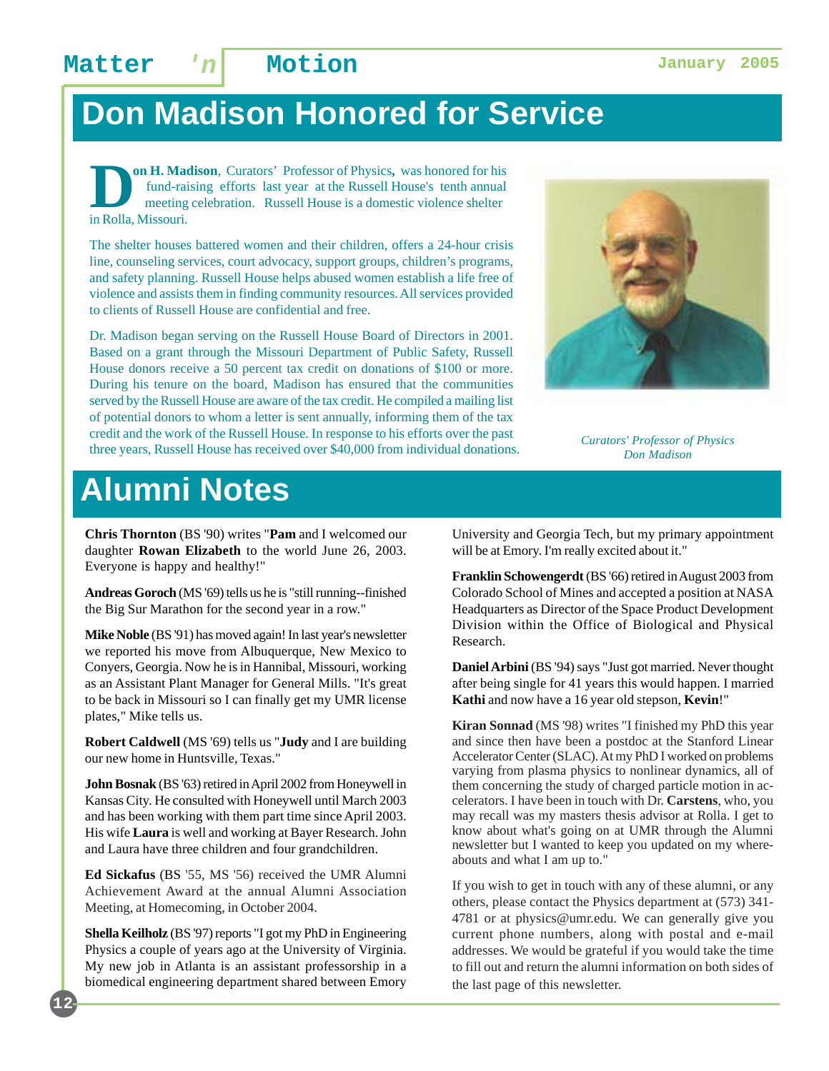# **Don Madison Honored for Service**

**Oo H. Madison**, Curators' Professor of Physics, was honored for his fund-raising efforts last year at the Russell House's tenth annual meeting celebration. Russell House is a domestic violence shelter in Rolla Missouri fund-raising efforts last year at the Russell House's tenth annual meeting celebration. Russell House is a domestic violence shelter in Rolla, Missouri.

The shelter houses battered women and their children, offers a 24-hour crisis line, counseling services, court advocacy, support groups, children's programs, and safety planning. Russell House helps abused women establish a life free of violence and assists them in finding community resources. All services provided to clients of Russell House are confidential and free.

Dr. Madison began serving on the Russell House Board of Directors in 2001. Based on a grant through the Missouri Department of Public Safety, Russell House donors receive a 50 percent tax credit on donations of \$100 or more. During his tenure on the board, Madison has ensured that the communities served by the Russell House are aware of the tax credit. He compiled a mailing list of potential donors to whom a letter is sent annually, informing them of the tax credit and the work of the Russell House. In response to his efforts over the past three years, Russell House has received over \$40,000 from individual donations.



*Curators' Professor of Physics Don Madison*

# **Alumni Notes**

**Chris Thornton** (BS '90) writes "**Pam** and I welcomed our daughter **Rowan Elizabeth** to the world June 26, 2003. Everyone is happy and healthy!"

**Andreas Goroch** (MS '69) tells us he is "still running--finished the Big Sur Marathon for the second year in a row."

**Mike Noble** (BS '91) has moved again! In last year's newsletter we reported his move from Albuquerque, New Mexico to Conyers, Georgia. Now he is in Hannibal, Missouri, working as an Assistant Plant Manager for General Mills. "It's great to be back in Missouri so I can finally get my UMR license plates," Mike tells us.

**Robert Caldwell** (MS '69) tells us "**Judy** and I are building our new home in Huntsville, Texas."

**John Bosnak** (BS '63) retired in April 2002 from Honeywell in Kansas City. He consulted with Honeywell until March 2003 and has been working with them part time since April 2003. His wife **Laura** is well and working at Bayer Research. John and Laura have three children and four grandchildren.

**Ed Sickafus** (BS '55, MS '56) received the UMR Alumni Achievement Award at the annual Alumni Association Meeting, at Homecoming, in October 2004.

**Shella Keilholz** (BS '97) reports "I got my PhD in Engineering Physics a couple of years ago at the University of Virginia. My new job in Atlanta is an assistant professorship in a biomedical engineering department shared between Emory

**12**

University and Georgia Tech, but my primary appointment will be at Emory. I'm really excited about it."

**Franklin Schowengerdt** (BS '66) retired in August 2003 from Colorado School of Mines and accepted a position at NASA Headquarters as Director of the Space Product Development Division within the Office of Biological and Physical Research.

**Daniel Arbini** (BS '94) says "Just got married. Never thought after being single for 41 years this would happen. I married **Kathi** and now have a 16 year old stepson, **Kevin**!"

**Kiran Sonnad** (MS '98) writes "I finished my PhD this year and since then have been a postdoc at the Stanford Linear Accelerator Center (SLAC). At my PhD I worked on problems varying from plasma physics to nonlinear dynamics, all of them concerning the study of charged particle motion in accelerators. I have been in touch with Dr. **Carstens**, who, you may recall was my masters thesis advisor at Rolla. I get to know about what's going on at UMR through the Alumni newsletter but I wanted to keep you updated on my whereabouts and what I am up to."

If you wish to get in touch with any of these alumni, or any others, please contact the Physics department at (573) 341- 4781 or at physics@umr.edu. We can generally give you current phone numbers, along with postal and e-mail addresses. We would be grateful if you would take the time to fill out and return the alumni information on both sides of the last page of this newsletter.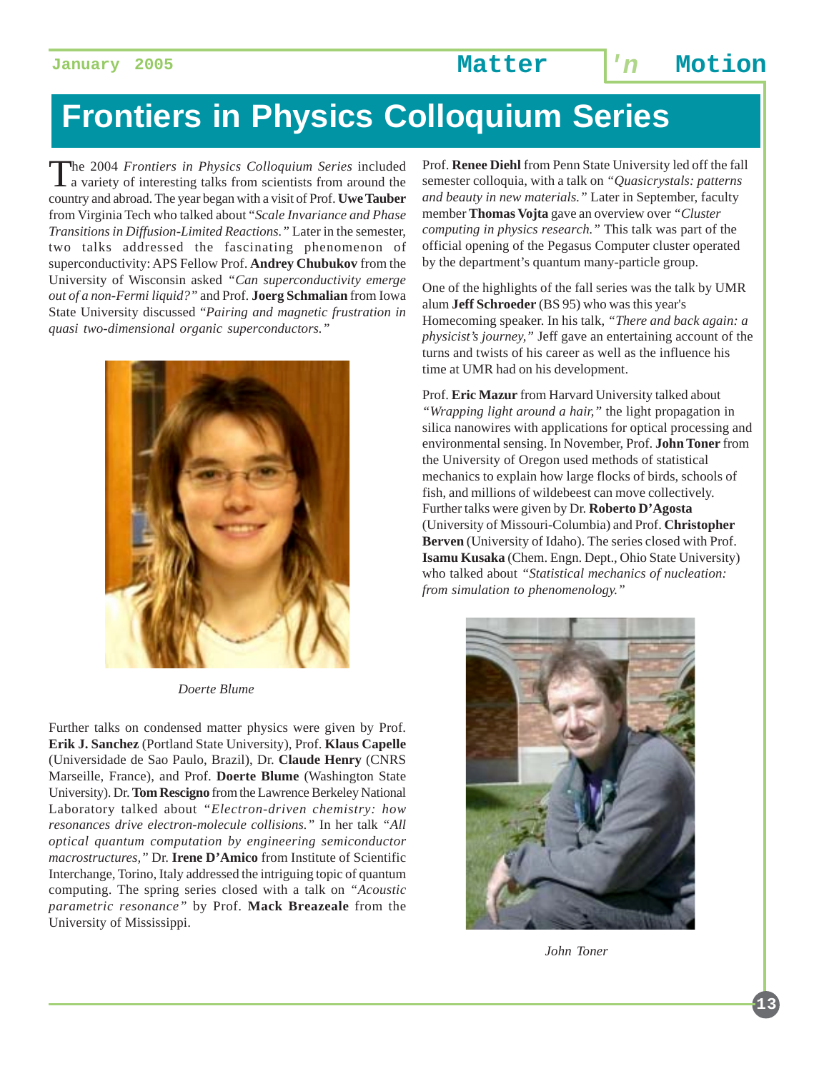# **Frontiers in Physics Colloquium Series**

The 2004 *Frontiers in Physics Colloquium Series* included a variety of interesting talks from scientists from around the country and abroad. The year began with a visit of Prof. **Uwe Tauber** from Virginia Tech who talked about "*Scale Invariance and Phase Transitions in Diffusion-Limited Reactions."* Later in the semester, two talks addressed the fascinating phenomenon of superconductivity: APS Fellow Prof. **Andrey Chubukov** from the University of Wisconsin asked *"Can superconductivity emerge out of a non-Fermi liquid?"* and Prof. **Joerg Schmalian** from Iowa State University discussed "*Pairing and magnetic frustration in quasi two-dimensional organic superconductors."*



*Doerte Blume*

Further talks on condensed matter physics were given by Prof. **Erik J. Sanchez** (Portland State University), Prof. **Klaus Capelle** (Universidade de Sao Paulo, Brazil), Dr. **Claude Henry** (CNRS Marseille, France), and Prof. **Doerte Blume** (Washington State University). Dr. **Tom Rescigno** from the Lawrence Berkeley National Laboratory talked about *"Electron-driven chemistry: how resonances drive electron-molecule collisions."* In her talk *"All optical quantum computation by engineering semiconductor macrostructures,"* Dr. **Irene D'Amico** from Institute of Scientific Interchange, Torino, Italy addressed the intriguing topic of quantum computing. The spring series closed with a talk on *"Acoustic parametric resonance"* by Prof. **Mack Breazeale** from the University of Mississippi.

Prof. **Renee Diehl** from Penn State University led off the fall semester colloquia, with a talk on *"Quasicrystals: patterns and beauty in new materials."* Later in September, faculty member **Thomas Vojta** gave an overview over *"Cluster computing in physics research."* This talk was part of the official opening of the Pegasus Computer cluster operated by the department's quantum many-particle group.

One of the highlights of the fall series was the talk by UMR alum **Jeff Schroeder** (BS 95) who was this year's Homecoming speaker. In his talk, *"There and back again: a physicist's journey,"* Jeff gave an entertaining account of the turns and twists of his career as well as the influence his time at UMR had on his development.

Prof. **Eric Mazur** from Harvard University talked about *"Wrapping light around a hair,"* the light propagation in silica nanowires with applications for optical processing and environmental sensing. In November, Prof. **John Toner** from the University of Oregon used methods of statistical mechanics to explain how large flocks of birds, schools of fish, and millions of wildebeest can move collectively. Further talks were given by Dr. **Roberto D'Agosta** (University of Missouri-Columbia) and Prof. **Christopher Berven** (University of Idaho). The series closed with Prof. **Isamu Kusaka** (Chem. Engn. Dept., Ohio State University) who talked about *"Statistical mechanics of nucleation: from simulation to phenomenology."*



*John Toner*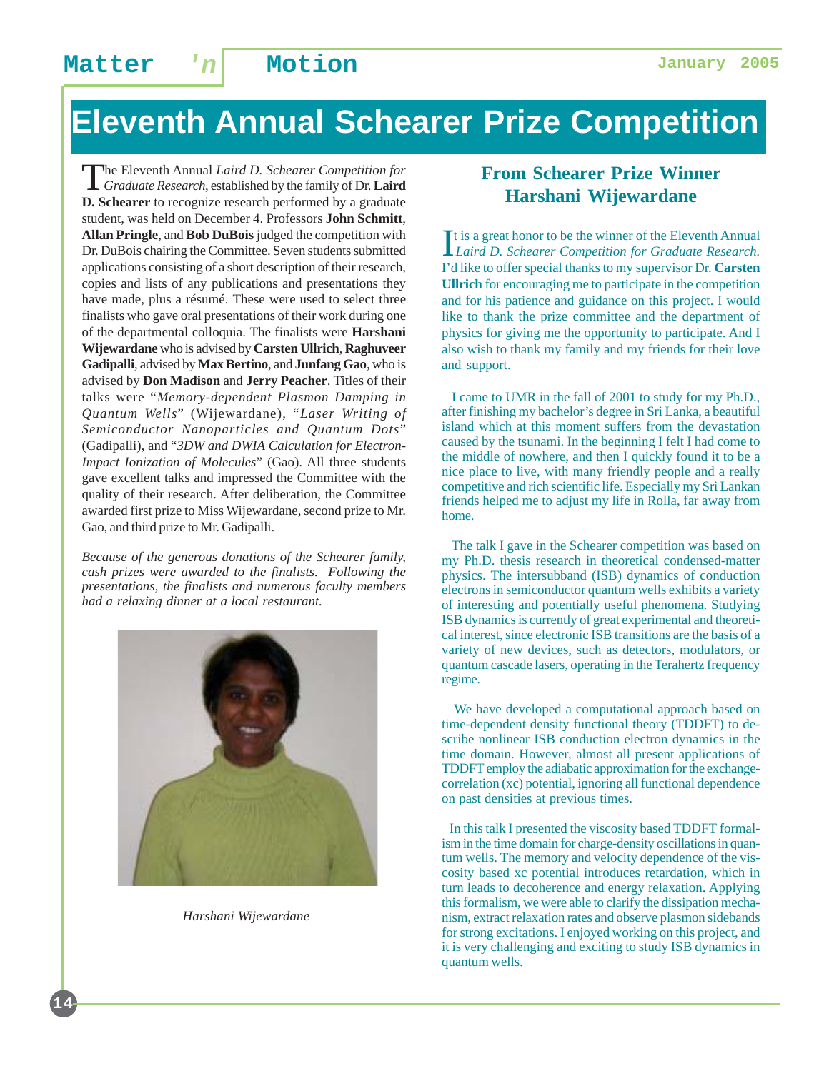# **Eleventh Annual Schearer Prize Competition**

The Eleventh Annual *Laird D. Schearer Competition for Graduate Research*, established by the family of Dr. **Laird D. Schearer** to recognize research performed by a graduate student, was held on December 4. Professors **John Schmitt**, **Allan Pringle**, and **Bob DuBois** judged the competition with Dr. DuBois chairing the Committee. Seven students submitted applications consisting of a short description of their research, copies and lists of any publications and presentations they have made, plus a résumé. These were used to select three finalists who gave oral presentations of their work during one of the departmental colloquia. The finalists were **Harshani Wijewardane** who is advised by **Carsten Ullrich**, **Raghuveer Gadipalli**, advised by **Max Bertino**, and **Junfang Gao**, who is advised by **Don Madison** and **Jerry Peacher**. Titles of their talks were "*Memory-dependent Plasmon Damping in Quantum Wells*" (Wijewardane), "*Laser Writing of Semiconductor Nanoparticles and Quantum Dots*" (Gadipalli), and "*3DW and DWIA Calculation for Electron-Impact Ionization of Molecules*" (Gao). All three students gave excellent talks and impressed the Committee with the quality of their research. After deliberation, the Committee awarded first prize to Miss Wijewardane, second prize to Mr. Gao, and third prize to Mr. Gadipalli.

*Because of the generous donations of the Schearer family, cash prizes were awarded to the finalists. Following the presentations, the finalists and numerous faculty members had a relaxing dinner at a local restaurant.*



*Harshani Wijewardane*

**14**

### **From Schearer Prize Winner Harshani Wijewardane**

It is a great honor to be the winner of the Eleventh Annual<br>Laird D. Schearer Competition for Graduate Research. *Laird D. Schearer Competition for Graduate Research.* I'd like to offer special thanks to my supervisor Dr. **Carsten Ullrich** for encouraging me to participate in the competition and for his patience and guidance on this project. I would like to thank the prize committee and the department of physics for giving me the opportunity to participate. And I also wish to thank my family and my friends for their love and support.

 I came to UMR in the fall of 2001 to study for my Ph.D., after finishing my bachelor's degree in Sri Lanka, a beautiful island which at this moment suffers from the devastation caused by the tsunami. In the beginning I felt I had come to the middle of nowhere, and then I quickly found it to be a nice place to live, with many friendly people and a really competitive and rich scientific life. Especially my Sri Lankan friends helped me to adjust my life in Rolla, far away from home.

 The talk I gave in the Schearer competition was based on my Ph.D. thesis research in theoretical condensed-matter physics. The intersubband (ISB) dynamics of conduction electrons in semiconductor quantum wells exhibits a variety of interesting and potentially useful phenomena. Studying ISB dynamics is currently of great experimental and theoretical interest, since electronic ISB transitions are the basis of a variety of new devices, such as detectors, modulators, or quantum cascade lasers, operating in the Terahertz frequency regime.

 We have developed a computational approach based on time-dependent density functional theory (TDDFT) to describe nonlinear ISB conduction electron dynamics in the time domain. However, almost all present applications of TDDFT employ the adiabatic approximation for the exchangecorrelation (xc) potential, ignoring all functional dependence on past densities at previous times.

 In this talk I presented the viscosity based TDDFT formalism in the time domain for charge-density oscillations in quantum wells. The memory and velocity dependence of the viscosity based xc potential introduces retardation, which in turn leads to decoherence and energy relaxation. Applying this formalism, we were able to clarify the dissipation mechanism, extract relaxation rates and observe plasmon sidebands for strong excitations. I enjoyed working on this project, and it is very challenging and exciting to study ISB dynamics in quantum wells.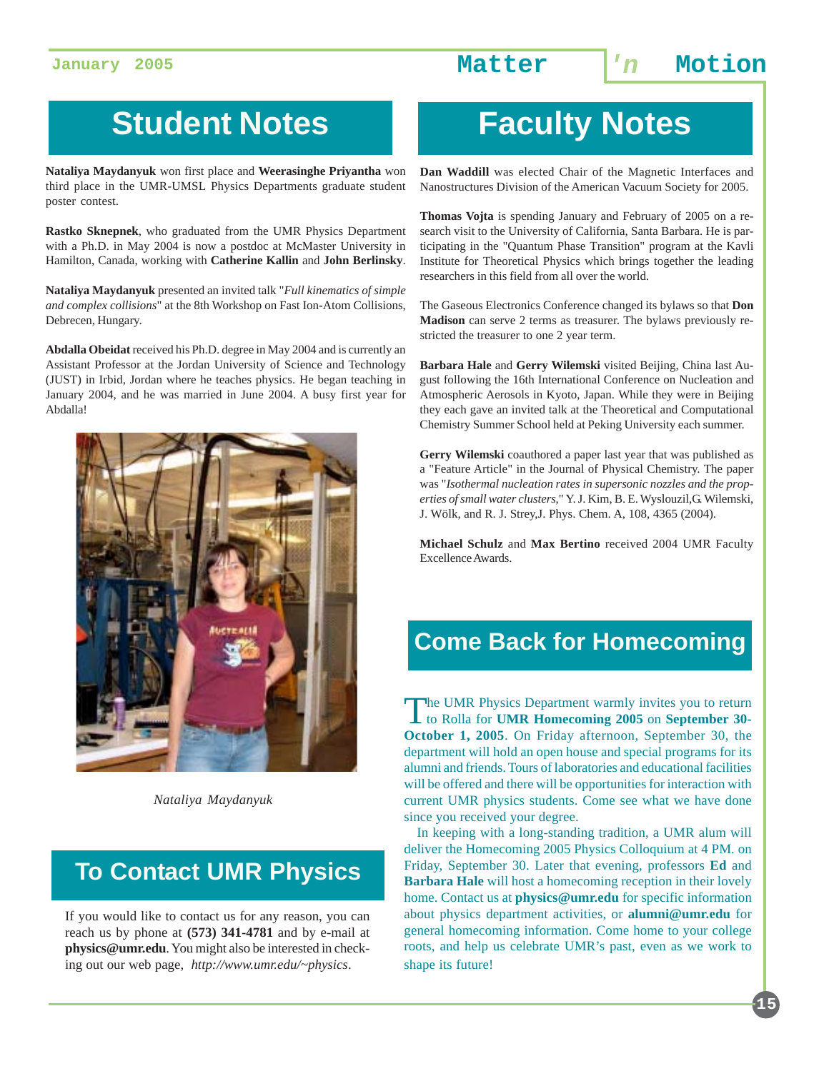# **Student Notes**

**Nataliya Maydanyuk** won first place and **Weerasinghe Priyantha** won third place in the UMR-UMSL Physics Departments graduate student poster contest.

**Rastko Sknepnek**, who graduated from the UMR Physics Department with a Ph.D. in May 2004 is now a postdoc at McMaster University in Hamilton, Canada, working with **Catherine Kallin** and **John Berlinsky**.

**Nataliya Maydanyuk** presented an invited talk "*Full kinematics of simple and complex collisions*" at the 8th Workshop on Fast Ion-Atom Collisions, Debrecen, Hungary.

**Abdalla Obeidat** received his Ph.D. degree in May 2004 and is currently an Assistant Professor at the Jordan University of Science and Technology (JUST) in Irbid, Jordan where he teaches physics. He began teaching in January 2004, and he was married in June 2004. A busy first year for Abdalla!



*Nataliya Maydanyuk*

### **To Contact UMR Physics**

If you would like to contact us for any reason, you can reach us by phone at **(573) 341-4781** and by e-mail at **physics@umr.edu**. You might also be interested in checking out our web page, *http://www.umr.edu/~physics*.

# **Faculty Notes**

**Dan Waddill** was elected Chair of the Magnetic Interfaces and Nanostructures Division of the American Vacuum Society for 2005.

**Thomas Vojta** is spending January and February of 2005 on a research visit to the University of California, Santa Barbara. He is participating in the "Quantum Phase Transition" program at the Kavli Institute for Theoretical Physics which brings together the leading researchers in this field from all over the world.

The Gaseous Electronics Conference changed its bylaws so that **Don Madison** can serve 2 terms as treasurer. The bylaws previously restricted the treasurer to one 2 year term.

**Barbara Hale** and **Gerry Wilemski** visited Beijing, China last August following the 16th International Conference on Nucleation and Atmospheric Aerosols in Kyoto, Japan. While they were in Beijing they each gave an invited talk at the Theoretical and Computational Chemistry Summer School held at Peking University each summer.

**Gerry Wilemski** coauthored a paper last year that was published as a "Feature Article" in the Journal of Physical Chemistry. The paper was "*Isothermal nucleation rates in supersonic nozzles and the properties of small water clusters*," Y. J. Kim, B. E. Wyslouzil,G. Wilemski, J. Wölk, and R. J. Strey,J. Phys. Chem. A, 108, 4365 (2004).

**Michael Schulz** and **Max Bertino** received 2004 UMR Faculty Excellence Awards.

### **Come Back for Homecoming**

The UMR Physics Department warmly invites you to return to Rolla for **UMR Homecoming 2005** on **September 30- October 1, 2005**. On Friday afternoon, September 30, the department will hold an open house and special programs for its alumni and friends. Tours of laboratories and educational facilities will be offered and there will be opportunities for interaction with current UMR physics students. Come see what we have done since you received your degree.

 In keeping with a long-standing tradition, a UMR alum will deliver the Homecoming 2005 Physics Colloquium at 4 PM. on Friday, September 30. Later that evening, professors **Ed** and **Barbara Hale** will host a homecoming reception in their lovely home. Contact us at **physics@umr.edu** for specific information about physics department activities, or **alumni@umr.edu** for general homecoming information. Come home to your college roots, and help us celebrate UMR's past, even as we work to shape its future!